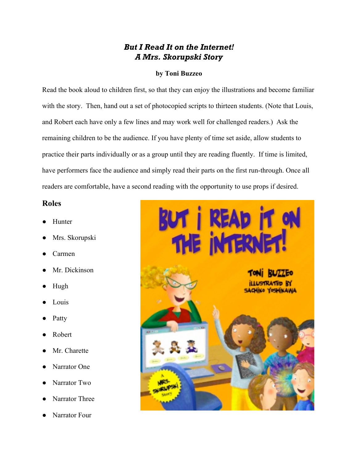## *But I Read It on the Internet! A Mrs. Skorupski Story*

## **by Toni Buzzeo**

Read the book aloud to children first, so that they can enjoy the illustrations and become familiar with the story. Then, hand out a set of photocopied scripts to thirteen students. (Note that Louis, and Robert each have only a few lines and may work well for challenged readers.) Ask the remaining children to be the audience. If you have plenty of time set aside, allow students to practice their parts individually or as a group until they are reading fluently. If time is limited, have performers face the audience and simply read their parts on the first run-through. Once all readers are comfortable, have a second reading with the opportunity to use props if desired.

## **Roles**

- Hunter
- Mrs. Skorupski
- **Carmen**
- Mr. Dickinson
- Hugh
- Louis
- Patty
- **Robert**
- Mr. Charette
- Narrator One
- Narrator Two
- Narrator Three
- Narrator Four

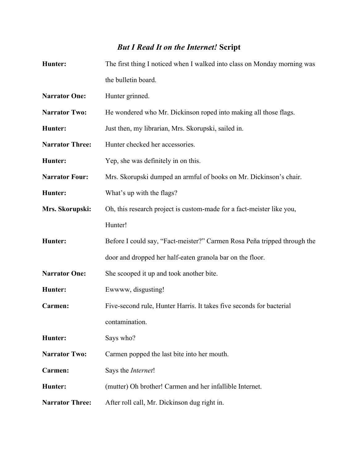## *But I Read It on the Internet!* **Script**

| Hunter:                | The first thing I noticed when I walked into class on Monday morning was |
|------------------------|--------------------------------------------------------------------------|
|                        | the bulletin board.                                                      |
| <b>Narrator One:</b>   | Hunter grinned.                                                          |
| <b>Narrator Two:</b>   | He wondered who Mr. Dickinson roped into making all those flags.         |
| Hunter:                | Just then, my librarian, Mrs. Skorupski, sailed in.                      |
| <b>Narrator Three:</b> | Hunter checked her accessories.                                          |
| Hunter:                | Yep, she was definitely in on this.                                      |
| <b>Narrator Four:</b>  | Mrs. Skorupski dumped an armful of books on Mr. Dickinson's chair.       |
| Hunter:                | What's up with the flags?                                                |
| Mrs. Skorupski:        | Oh, this research project is custom-made for a fact-meister like you,    |
|                        | Hunter!                                                                  |
| Hunter:                | Before I could say, "Fact-meister?" Carmen Rosa Peña tripped through the |
|                        | door and dropped her half-eaten granola bar on the floor.                |
| <b>Narrator One:</b>   | She scooped it up and took another bite.                                 |
| Hunter:                | Ewwww, disgusting!                                                       |
| Carmen:                | Five-second rule, Hunter Harris. It takes five seconds for bacterial     |
|                        | contamination.                                                           |
| Hunter:                | Says who?                                                                |
| <b>Narrator Two:</b>   | Carmen popped the last bite into her mouth.                              |
| Carmen:                | Says the Internet!                                                       |
| Hunter:                | (mutter) Oh brother! Carmen and her infallible Internet.                 |
| <b>Narrator Three:</b> | After roll call, Mr. Dickinson dug right in.                             |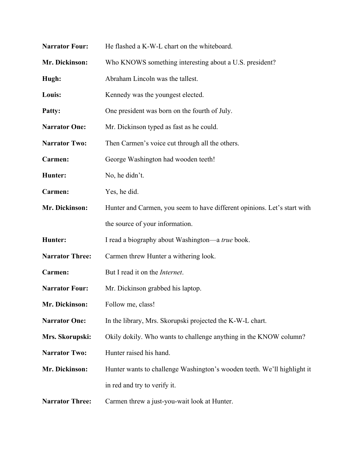| <b>Narrator Four:</b>  | He flashed a K-W-L chart on the whiteboard.                              |
|------------------------|--------------------------------------------------------------------------|
| Mr. Dickinson:         | Who KNOWS something interesting about a U.S. president?                  |
| Hugh:                  | Abraham Lincoln was the tallest.                                         |
| Louis:                 | Kennedy was the youngest elected.                                        |
| Patty:                 | One president was born on the fourth of July.                            |
| <b>Narrator One:</b>   | Mr. Dickinson typed as fast as he could.                                 |
| <b>Narrator Two:</b>   | Then Carmen's voice cut through all the others.                          |
| Carmen:                | George Washington had wooden teeth!                                      |
| Hunter:                | No, he didn't.                                                           |
| Carmen:                | Yes, he did.                                                             |
| Mr. Dickinson:         | Hunter and Carmen, you seem to have different opinions. Let's start with |
|                        | the source of your information.                                          |
| Hunter:                | I read a biography about Washington—a true book.                         |
| <b>Narrator Three:</b> | Carmen threw Hunter a withering look.                                    |
| Carmen:                | But I read it on the <i>Internet</i> .                                   |
| <b>Narrator Four:</b>  | Mr. Dickinson grabbed his laptop.                                        |
| <b>Mr. Dickinson:</b>  | Follow me, class!                                                        |
| <b>Narrator One:</b>   | In the library, Mrs. Skorupski projected the K-W-L chart.                |
| Mrs. Skorupski:        | Okily dokily. Who wants to challenge anything in the KNOW column?        |
| <b>Narrator Two:</b>   | Hunter raised his hand.                                                  |
| Mr. Dickinson:         | Hunter wants to challenge Washington's wooden teeth. We'll highlight it  |
|                        | in red and try to verify it.                                             |
| <b>Narrator Three:</b> | Carmen threw a just-you-wait look at Hunter.                             |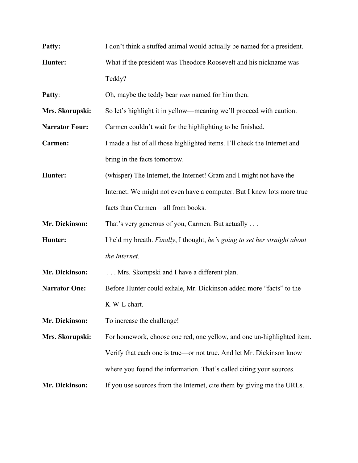| Patty:                | I don't think a stuffed animal would actually be named for a president.    |
|-----------------------|----------------------------------------------------------------------------|
| Hunter:               | What if the president was Theodore Roosevelt and his nickname was          |
|                       | Teddy?                                                                     |
| Patty:                | Oh, maybe the teddy bear was named for him then.                           |
| Mrs. Skorupski:       | So let's highlight it in yellow—meaning we'll proceed with caution.        |
| <b>Narrator Four:</b> | Carmen couldn't wait for the highlighting to be finished.                  |
| Carmen:               | I made a list of all those highlighted items. I'll check the Internet and  |
|                       | bring in the facts tomorrow.                                               |
| Hunter:               | (whisper) The Internet, the Internet! Gram and I might not have the        |
|                       | Internet. We might not even have a computer. But I knew lots more true     |
|                       | facts than Carmen—all from books.                                          |
| Mr. Dickinson:        | That's very generous of you, Carmen. But actually                          |
| Hunter:               | I held my breath. Finally, I thought, he's going to set her straight about |
|                       | the Internet.                                                              |
| Mr. Dickinson:        | Mrs. Skorupski and I have a different plan.                                |
| <b>Narrator One:</b>  | Before Hunter could exhale, Mr. Dickinson added more "facts" to the        |
|                       | K-W-L chart.                                                               |
| Mr. Dickinson:        | To increase the challenge!                                                 |
| Mrs. Skorupski:       | For homework, choose one red, one yellow, and one un-highlighted item.     |
|                       | Verify that each one is true—or not true. And let Mr. Dickinson know       |
|                       | where you found the information. That's called citing your sources.        |
| Mr. Dickinson:        | If you use sources from the Internet, cite them by giving me the URLs.     |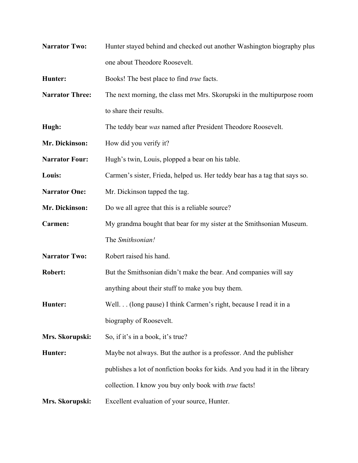| <b>Narrator Two:</b>   | Hunter stayed behind and checked out another Washington biography plus      |
|------------------------|-----------------------------------------------------------------------------|
|                        | one about Theodore Roosevelt.                                               |
| Hunter:                | Books! The best place to find <i>true</i> facts.                            |
| <b>Narrator Three:</b> | The next morning, the class met Mrs. Skorupski in the multipurpose room     |
|                        | to share their results.                                                     |
| Hugh:                  | The teddy bear was named after President Theodore Roosevelt.                |
| Mr. Dickinson:         | How did you verify it?                                                      |
| <b>Narrator Four:</b>  | Hugh's twin, Louis, plopped a bear on his table.                            |
| Louis:                 | Carmen's sister, Frieda, helped us. Her teddy bear has a tag that says so.  |
| <b>Narrator One:</b>   | Mr. Dickinson tapped the tag.                                               |
| Mr. Dickinson:         | Do we all agree that this is a reliable source?                             |
| Carmen:                | My grandma bought that bear for my sister at the Smithsonian Museum.        |
|                        | The Smithsonian!                                                            |
| <b>Narrator Two:</b>   | Robert raised his hand.                                                     |
| <b>Robert:</b>         | But the Smithsonian didn't make the bear. And companies will say            |
|                        | anything about their stuff to make you buy them.                            |
| Hunter:                | Well. (long pause) I think Carmen's right, because I read it in a           |
|                        | biography of Roosevelt.                                                     |
| Mrs. Skorupski:        | So, if it's in a book, it's true?                                           |
| Hunter:                | Maybe not always. But the author is a professor. And the publisher          |
|                        | publishes a lot of nonfiction books for kids. And you had it in the library |
|                        | collection. I know you buy only book with <i>true</i> facts!                |
| Mrs. Skorupski:        | Excellent evaluation of your source, Hunter.                                |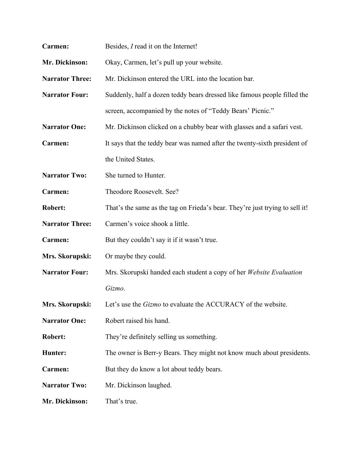| Carmen:                | Besides, I read it on the Internet!                                          |
|------------------------|------------------------------------------------------------------------------|
| Mr. Dickinson:         | Okay, Carmen, let's pull up your website.                                    |
| <b>Narrator Three:</b> | Mr. Dickinson entered the URL into the location bar.                         |
| <b>Narrator Four:</b>  | Suddenly, half a dozen teddy bears dressed like famous people filled the     |
|                        | screen, accompanied by the notes of "Teddy Bears' Picnic."                   |
| <b>Narrator One:</b>   | Mr. Dickinson clicked on a chubby bear with glasses and a safari vest.       |
| Carmen:                | It says that the teddy bear was named after the twenty-sixth president of    |
|                        | the United States.                                                           |
| <b>Narrator Two:</b>   | She turned to Hunter.                                                        |
| Carmen:                | Theodore Roosevelt. See?                                                     |
| <b>Robert:</b>         | That's the same as the tag on Frieda's bear. They're just trying to sell it! |
| <b>Narrator Three:</b> | Carmen's voice shook a little.                                               |
| Carmen:                | But they couldn't say it if it wasn't true.                                  |
| Mrs. Skorupski:        | Or maybe they could.                                                         |
| <b>Narrator Four:</b>  | Mrs. Skorupski handed each student a copy of her Website Evaluation          |
|                        | Gizmo.                                                                       |
| Mrs. Skorupski:        | Let's use the <i>Gizmo</i> to evaluate the ACCURACY of the website.          |
| <b>Narrator One:</b>   | Robert raised his hand.                                                      |
| <b>Robert:</b>         | They're definitely selling us something.                                     |
| Hunter:                | The owner is Berr-y Bears. They might not know much about presidents.        |
| Carmen:                | But they do know a lot about teddy bears.                                    |
| <b>Narrator Two:</b>   | Mr. Dickinson laughed.                                                       |
| Mr. Dickinson:         | That's true.                                                                 |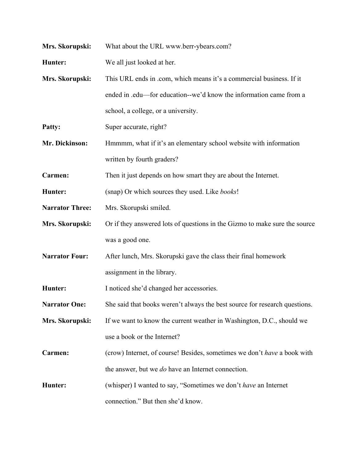| Mrs. Skorupski:        | What about the URL www.berr-ybears.com?                                    |
|------------------------|----------------------------------------------------------------------------|
| Hunter:                | We all just looked at her.                                                 |
| Mrs. Skorupski:        | This URL ends in .com, which means it's a commercial business. If it       |
|                        | ended in .edu—for education--we'd know the information came from a         |
|                        | school, a college, or a university.                                        |
| Patty:                 | Super accurate, right?                                                     |
| Mr. Dickinson:         | Hmmmm, what if it's an elementary school website with information          |
|                        | written by fourth graders?                                                 |
| Carmen:                | Then it just depends on how smart they are about the Internet.             |
| Hunter:                | (snap) Or which sources they used. Like books!                             |
| <b>Narrator Three:</b> | Mrs. Skorupski smiled.                                                     |
| Mrs. Skorupski:        | Or if they answered lots of questions in the Gizmo to make sure the source |
|                        | was a good one.                                                            |
| <b>Narrator Four:</b>  | After lunch, Mrs. Skorupski gave the class their final homework            |
|                        | assignment in the library.                                                 |
| Hunter:                | I noticed she'd changed her accessories.                                   |
| <b>Narrator One:</b>   | She said that books weren't always the best source for research questions. |
| Mrs. Skorupski:        | If we want to know the current weather in Washington, D.C., should we      |
|                        | use a book or the Internet?                                                |
| Carmen:                | (crow) Internet, of course! Besides, sometimes we don't have a book with   |
|                        | the answer, but we <i>do</i> have an Internet connection.                  |
| Hunter:                | (whisper) I wanted to say, "Sometimes we don't have an Internet            |
|                        | connection." But then she'd know.                                          |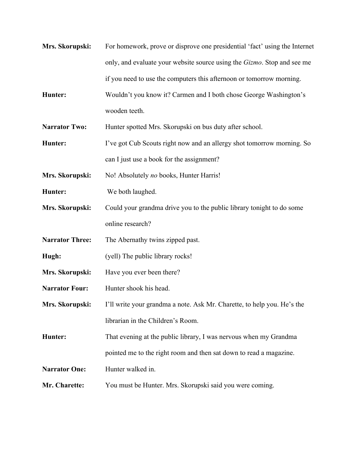**Mrs. Skorupski:** For homework, prove or disprove one presidential 'fact' using the Internet only, and evaluate your website source using the *Gizmo*. Stop and see me if you need to use the computers this afternoon or tomorrow morning. **Hunter:** Wouldn't you know it? Carmen and I both chose George Washington's wooden teeth. **Narrator Two:** Hunter spotted Mrs. Skorupski on bus duty after school. **Hunter:** I've got Cub Scouts right now and an allergy shot tomorrow morning. So can I just use a book for the assignment? **Mrs. Skorupski:** No! Absolutely *no* books, Hunter Harris! **Hunter:** We both laughed. **Mrs. Skorupski:** Could your grandma drive you to the public library tonight to do some online research? **Narrator Three:** The Abernathy twins zipped past. **Hugh:** (yell) The public library rocks! **Mrs. Skorupski:** Have you ever been there? **Narrator Four:** Hunter shook his head. **Mrs. Skorupski:** I'll write your grandma a note. Ask Mr. Charette, to help you. He's the librarian in the Children's Room. **Hunter:** That evening at the public library, I was nervous when my Grandma pointed me to the right room and then sat down to read a magazine. **Narrator One:** Hunter walked in. **Mr. Charette:** You must be Hunter. Mrs. Skorupski said you were coming.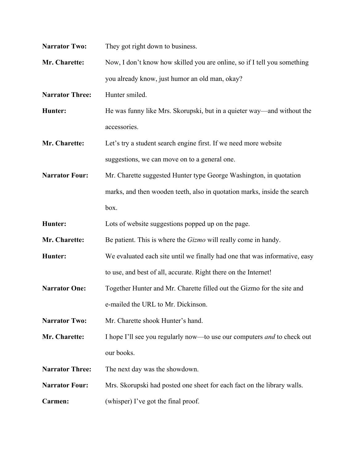| <b>Narrator Two:</b>   | They got right down to business.                                               |
|------------------------|--------------------------------------------------------------------------------|
| Mr. Charette:          | Now, I don't know how skilled you are online, so if I tell you something       |
|                        | you already know, just humor an old man, okay?                                 |
| <b>Narrator Three:</b> | Hunter smiled.                                                                 |
| Hunter:                | He was funny like Mrs. Skorupski, but in a quieter way—and without the         |
|                        | accessories.                                                                   |
| Mr. Charette:          | Let's try a student search engine first. If we need more website               |
|                        | suggestions, we can move on to a general one.                                  |
| <b>Narrator Four:</b>  | Mr. Charette suggested Hunter type George Washington, in quotation             |
|                        | marks, and then wooden teeth, also in quotation marks, inside the search       |
|                        | box.                                                                           |
| Hunter:                | Lots of website suggestions popped up on the page.                             |
| Mr. Charette:          | Be patient. This is where the <i>Gizmo</i> will really come in handy.          |
| Hunter:                | We evaluated each site until we finally had one that was informative, easy     |
|                        | to use, and best of all, accurate. Right there on the Internet!                |
| <b>Narrator One:</b>   | Together Hunter and Mr. Charette filled out the Gizmo for the site and         |
|                        | e-mailed the URL to Mr. Dickinson.                                             |
| <b>Narrator Two:</b>   | Mr. Charette shook Hunter's hand.                                              |
| Mr. Charette:          | I hope I'll see you regularly now—to use our computers <i>and</i> to check out |
|                        | our books.                                                                     |
| <b>Narrator Three:</b> | The next day was the showdown.                                                 |
| <b>Narrator Four:</b>  | Mrs. Skorupski had posted one sheet for each fact on the library walls.        |
| Carmen:                | (whisper) I've got the final proof.                                            |
|                        |                                                                                |